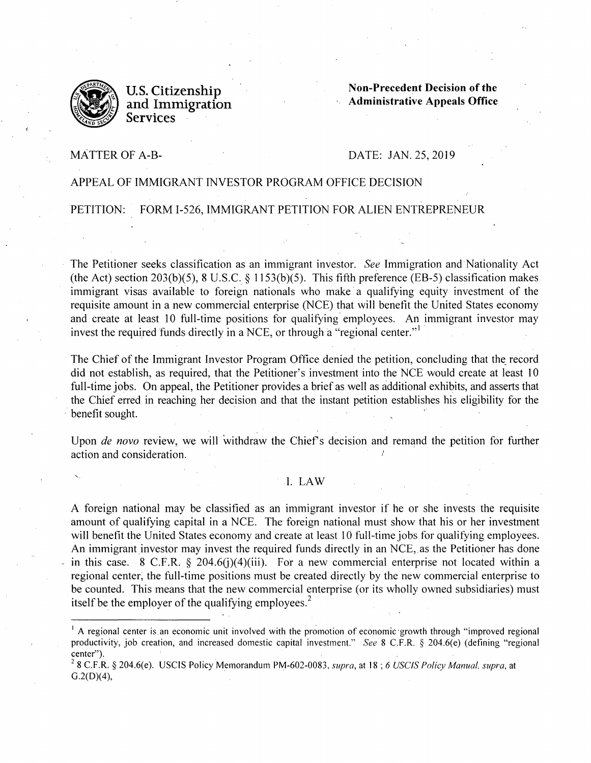

U.S. Citizenship and Immigration **Services** 

**Non-Precedent Decision of the Administrative Appeals Office** 

### MATTER OF A-B-

# DATE: JAN. 25, 2019

# APPEAL OF IMMIGRANT INVESTOR PROGRAM OFFICE DECISION

.PETITION: FORM 1-526, IMMIGRANT PETITION FOR ALIEN ENTREPRENEUR

The Petitioner seeks classification as an immigrant investor. *See Immigration* and Nationality Act (the Act) section 203(b)(5), 8 U.S.C. § 1153(b)(5). This fifth preference (EB-5) classification makes immigrant visas available to foreign nationals who make a qualifying equity investment of the requisite amount in a new commercial enterprise (NCE) that will benefit the United States economy and create at least 10 full-time positions for qualifying employees. An immigrant investor may invest the required funds directly in a NCE, or through a "regional center."<sup>1</sup>

The Chief of the Immigrant Investor Program Office denied the petition, concluding that the record did not establish, as required, that the Petitioner's investment into the NCE would create at least 10 full-time jobs. On appeal, the Petitioner provides a brief as well as additional exhibits, and asserts that the Chief erred in reaching her decision and that the instant petition establishes his eligibility for the benefit sought.

Upon *de novo* review, we will withdraw the Chief's decision and remand the petition for further action and consideration.

## I. LAW

A foreign national may be classified as an immigrant investor if he or she invests the requisite amount of qualifying capital in a NCE. The foreign national must show that his or her investment will benefit the United States economy and create at least 10 full-time jobs for qualifying employees. An immigrant investor may invest the required funds directly in an NCE, as the Petitioner has done in this case. 8 C.F.R.  $\S$  204.6(j)(4)(iii). For a new commercial enterprise not located within a regional center; the full-time positions must be created directly by the new commercial enterprise to be counted. This means that the new commercial enterprise (or its wholly owned subsidiaries) must itself be the employer of the qualifying employees.<sup>2</sup>

 $<sup>1</sup>$  A regional center is an economic unit involved with the promotion of economic growth through "improved regional</sup> productivity, job creation, and increased domestic capital investment." *See* 8 C.F.R. § 204.6(e) (defining "regional center"). **Example 2** is a set of the contract of the contract of the contract of the contract of the contract of the contract of the contract of the contract of the contract of the contract of the contract of the contract

<sup>2</sup>8 C.F.R. § 204.6(e). USCIS Policy Memorandum PM-602-0083, *supra,* at **18;** *6 USCIS Policy Manual. supra,* at  $G.2(D)(4)$ ,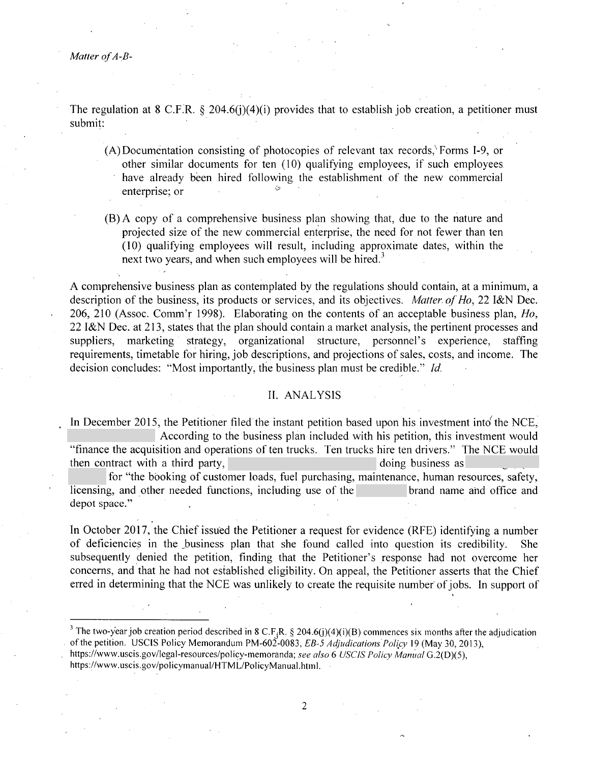*Matter of A~B-*

.

The regulation at 8 C.F.R. § 204.6(j)(4)(i) provides that to establish job creation, a petitioner must submit:

- (A) Documentation consisting of photocopies of relevant tax records,\ Forms 1-9, or other similar documents for ten (10) qualifying employees, if such employees have already been hired following the establishment of the new commercial enterprise; or
- (B) A copy of a comprehensive business plan showing that, due to the nature and projected size of the new commercial enterprise, the need for not fewer than ten ( 10) qualifying employees will result, including approximate dates, within the next two years, and when such employees will be hired.<sup>3</sup>

A comprehensive business plan as contemplated by the regulations should contain, at a minimum, a description of the business, its products or services, and its objectives. *Matter. of Ho,* 22 I&N Dec. 206, 210 (Assoc. Comm'r 1998). Elaborating on the contents of an acceptable business plan, *Ho,*  22 I&N Dec. at 213, states that the plan should contain a market analysis, the pertinent processes and suppliers, marketing strategy, organizational structure, personnel's experience, staffing requirements, timetable for hiring, job descriptions, and projections of sales, costs, and income. The decision concludes: "Most importantly, the business plan must be credible." *Id.* 

#### IL ANALYSIS

In December 2015, the Petitioner filed the instant petition based upon his investment into the NCE, According to the business plan included with his petition, this investment would "finance the acquisition and operations of ten trucks. Ten trucks hire ten drivers." The NCE would then contract with a third party, the contract with a third party,

for "the booking of customer loads, fuel purchasing, maintenance, human resources, safety, licensing, and other needed functions, including use of the brand name ahd office and depot space."

In October 2017, the Chief issued the Petitioner a request for evidence (RFE) identifying a number of deficiencies in the business plan that she found called into question its credibility. subsequently denied the petition, finding that the Petitioner's response had not overcome her concerns, and that he had not established eligibility. On appeal, the Petitioner asserts that the Chief erred in determining that the NCE was unlikely to create the requisite number of jobs. In support of

<sup>&</sup>lt;sup>3</sup> The two-year job creation period described in 8 C.F<sub>i</sub>R. § 204.6(j)(4)(i)(B) commences six months after the adjudication of the petition. USCIS Policy Memorandum PM-602-0083, *EB-5 Adjudications Policy* 19 (May 30, 2013),

https://www.uscis.gov/legal-resources/policy-memoranda; see also 6 *USCIS Policy Manual* G.2(D)(5),

https://www.uscis.gov/policymanual/HTML/PolicyManual.html.